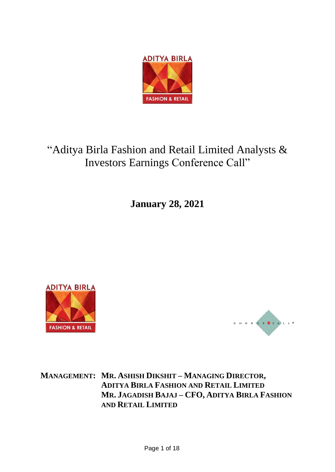

# "Aditya Birla Fashion and Retail Limited Analysts & Investors Earnings Conference Call"

**January 28, 2021**





**MANAGEMENT: MR. ASHISH DIKSHIT – MANAGING DIRECTOR, ADITYA BIRLA FASHION AND RETAIL LIMITED MR. JAGADISH BAJAJ – CFO, ADITYA BIRLA FASHION AND RETAIL LIMITED**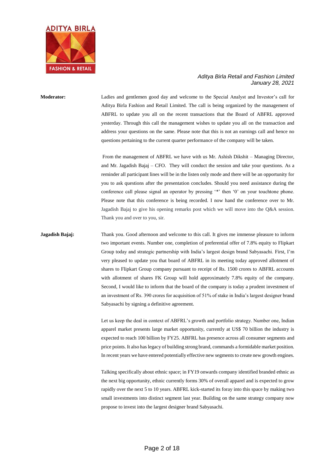

**Moderator:** Ladies and gentlemen good day and welcome to the Special Analyst and Investor's call for Aditya Birla Fashion and Retail Limited. The call is being organized by the management of ABFRL to update you all on the recent transactions that the Board of ABFRL approved yesterday. Through this call the management wishes to update you all on the transaction and address your questions on the same. Please note that this is not an earnings call and hence no questions pertaining to the current quarter performance of the company will be taken.

> From the management of ABFRL we have with us Mr. Ashish Dikshit – Managing Director, and Mr. Jagadish Bajaj – CFO. They will conduct the session and take your questions. As a reminder all participant lines will be in the listen only mode and there will be an opportunity for you to ask questions after the presentation concludes. Should you need assistance during the conference call please signal an operator by pressing '\*' then '0' on your touchtone phone. Please note that this conference is being recorded. I now hand the conference over to Mr. Jagadish Bajaj to give his opening remarks post which we will move into the Q&A session. Thank you and over to you, sir.

**Jagadish Bajaj:** Thank you. Good afternoon and welcome to this call. It gives me immense pleasure to inform two important events. Number one, completion of preferential offer of 7.8% equity to Flipkart Group today and strategic partnership with India's largest design brand Sabyasachi. First, I'm very pleased to update you that board of ABFRL in its meeting today approved allotment of shares to Flipkart Group company pursuant to receipt of Rs. 1500 crores to ABFRL accounts with allotment of shares FK Group will hold approximately 7.8% equity of the company. Second, I would like to inform that the board of the company is today a prudent investment of an investment of Rs. 390 crores for acquisition of 51% of stake in India's largest designer brand Sabyasachi by signing a definitive agreement.

> Let us keep the deal in context of ABFRL's growth and portfolio strategy. Number one, Indian apparel market presents large market opportunity, currently at US\$ 70 billion the industry is expected to reach 100 billion by FY25. ABFRL has presence across all consumer segments and price points. It also has legacy of building strong brand, commands a formidable market position. In recent years we have entered potentially effective new segments to create new growth engines.

> Talking specifically about ethnic space; in FY19 onwards company identified branded ethnic as the next big opportunity, ethnic currently forms 30% of overall apparel and is expected to grow rapidly over the next 5 to 10 years. ABFRL kick-started its foray into this space by making two small investments into distinct segment last year. Building on the same strategy company now propose to invest into the largest designer brand Sabyasachi.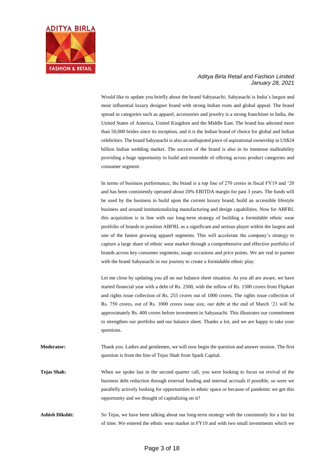

Would like to update you briefly about the brand Sabyasachi; Sabyasachi is India's largest and most influential luxury designer brand with strong Indian roots and global appeal. The brand spread in categories such as apparel, accessories and jewelry is a strong franchisee in India, the United States of America, United Kingdom and the Middle East. The brand has adorned more than 50,000 brides since its inception, and it is the Indian brand of choice for global and Indian celebrities. The brand Sabyasachi is also an undisputed piece of aspirational ownership in US\$24 billion Indian wedding market. The success of the brand is also in its immense malleability providing a huge opportunity to build and ensemble of offering across product categories and consumer segment.

In terms of business performance, the brand is a top line of 270 crores in fiscal FY19 and '20 and has been consistently operated about 20% EBITDA margin for past 3 years. The funds will be used by the business to build upon the current luxury brand, build an accessible lifestyle business and around institutionalizing manufacturing and design capabilities. Now for ABFRL this acquisition is in line with our long-term strategy of building a formidable ethnic wear portfolio of brands to position ABFRL as a significant and serious player within the largest and one of the fastest growing apparel segments. This will accelerate the company's strategy to capture a large share of ethnic wear market through a comprehensive and effective portfolio of brands across key consumer segments, usage occasions and price points. We are real to partner with the brand Sabyasachi in our journey to create a formidable ethnic play.

Let me close by updating you all on our balance sheet situation. As you all are aware, we have started financial year with a debt of Rs. 2500, with the inflow of Rs. 1500 crores from Flipkart and rights issue collection of Rs. 255 crores out of 1000 crores. The rights issue collection of Rs. 750 crores, out of Rs. 1000 crores issue size, our debt at the end of March '21 will be approximately Rs. 400 crores before investment in Sabyasachi. This illustrates our commitment to strengthen our portfolio and our balance sheet. Thanks a lot, and we are happy to take your questions.

**Moderator:** Thank you. Ladies and gentlemen, we will now begin the question and answer session. The first question is from the line of Tejas Shah from Spark Capital.

**Tejas Shah:** When we spoke last in the second quarter call, you were looking to focus on revival of the business debt reduction through external funding and internal accruals if possible, so were we parallelly actively looking for opportunities in ethnic space or because of pandemic we got this opportunity and we thought of capitalizing on it?

Ashish Dikshit: So Tejas, we have been talking about our long-term strategy with the consistently for a fair bit of time. We entered the ethnic wear market in FY19 and with two small investments which we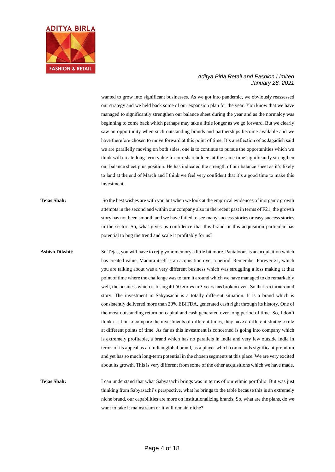

wanted to grow into significant businesses. As we got into pandemic, we obviously reassessed our strategy and we held back some of our expansion plan for the year. You know that we have managed to significantly strengthen our balance sheet during the year and as the normalcy was beginning to come back which perhaps may take a little longer as we go forward. But we clearly saw an opportunity when such outstanding brands and partnerships become available and we have therefore chosen to move forward at this point of time. It's a reflection of as Jagadish said we are parallelly moving on both sides, one is to continue to pursue the opportunities which we think will create long-term value for our shareholders at the same time significantly strengthen our balance sheet plus position. He has indicated the strength of our balance sheet as it's likely to land at the end of March and I think we feel very confident that it's a good time to make this investment.

- **Tejas Shah:** So the best wishes are with you but when we look at the empirical evidences of inorganic growth attempts in the second and within our company also in the recent past in terms of F21, the growth story has not been smooth and we have failed to see many success stories or easy success stories in the sector. So, what gives us confidence that this brand or this acquisition particular has potential to bug the trend and scale it profitably for us?
- **Ashish Dikshit:** So Tejas, you will have to rejig your memory a little bit more. Pantaloons is an acquisition which has created value, Madura itself is an acquisition over a period. Remember Forever 21, which you are talking about was a very different business which was struggling a loss making at that point of time where the challenge was to turn it around which we have managed to do remarkably well, the business which is losing 40-50 crores in 3 years has broken even. So that's a turnaround story. The investment in Sabyasachi is a totally different situation. It is a brand which is consistently delivered more than 20% EBITDA, generated cash right through its history. One of the most outstanding return on capital and cash generated over long period of time. So, I don't think it's fair to compare the investments of different times, they have a different strategic role at different points of time. As far as this investment is concerned is going into company which is extremely profitable, a brand which has no parallels in India and very few outside India in terms of its appeal as an Indian global brand, as a player which commands significant premium and yet has so much long-term potential in the chosen segments at this place. We are very excited about its growth. This is very different from some of the other acquisitions which we have made.
- **Tejas Shah:** I can understand that what Sabyasachi brings was in terms of our ethnic portfolio. But was just thinking from Sabyasachi's perspective, what he brings to the table because this is an extremely niche brand, our capabilities are more on institutionalizing brands. So, what are the plans, do we want to take it mainstream or it will remain niche?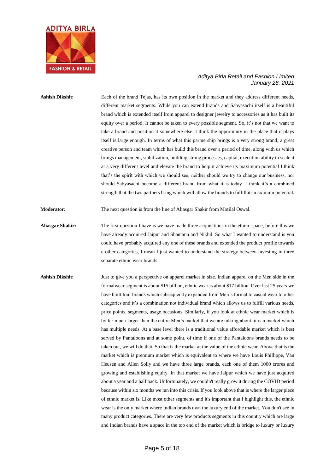

**Ashish Dikshit:** Each of the brand Tejas, has its own position in the market and they address different needs, different market segments. While you can extend brands and Sabyasachi itself is a beautiful brand which is extended itself from apparel to designer jewelry to accessories as it has built its equity over a period. It cannot be taken to every possible segment. So, it's not that we want to take a brand and position it somewhere else. I think the opportunity in the place that it plays itself is large enough. In terms of what this partnership brings is a very strong brand, a great creative person and team which has build this brand over a period of time, along with us which brings management, stabilization, building strong processes, capital, execution ability to scale it at a very different level and elevate the brand to help it achieve its maximum potential I think that's the spirit with which we should see, neither should we try to change our business, nor should Sabyasachi become a different brand from what it is today. I think it's a combined strength that the two partners bring which will allow the brands to fulfill its maximum potential.

**Moderator:** The next question is from the line of Aliasgar Shakir from Motilal Oswal.

**Aliasgar Shakir:** The first question I have is we have made three acquisitions in the ethnic space, before this we have already acquired Jaipur and Shantanu and Nikhil. So what I wanted to understand is you could have probably acquired any one of these brands and extended the product profile towards e other categories, I mean I just wanted to understand the strategy between investing in three separate ethnic wear brands.

Ashish Dikshit: Just to give you a perspective on apparel market in size. Indian apparel on the Men side in the formalwear segment is about \$15 billion, ethnic wear is about \$17 billion. Over last 25 years we have built four brands which subsequently expanded from Men's formal to casual wear to other categories and it's a combination not individual brand which allows us to fulfill various needs, price points, segments, usage occasions. Similarly, if you look at ethnic wear market which is by far much larger than the entire Men's market that we are talking about, it is a market which has multiple needs. At a base level there is a traditional value affordable market which is best served by Pantaloons and at some point, of time if one of the Pantaloons brands needs to be taken out, we will do that. So that is the market at the value of the ethnic wear. Above that is the market which is premium market which is equivalent to where we have Louis Phillippe, Van Heusen and Allen Solly and we have three large brands, each one of them 1000 crores and growing and establishing equity. In that market we have Jaipur which we have just acquired about a year and a half back. Unfortunately, we couldn't really grow it during the COVID period because within six months we ran into this crisis. If you look above that is where the larger piece of ethnic market is. Like most other segments and it's important that I highlight this, the ethnic wear is the only market where Indian brands own the luxury end of the market. You don't see in many product categories. There are very few products segments in this country which are large and Indian brands have a space in the top end of the market which is bridge to luxury or luxury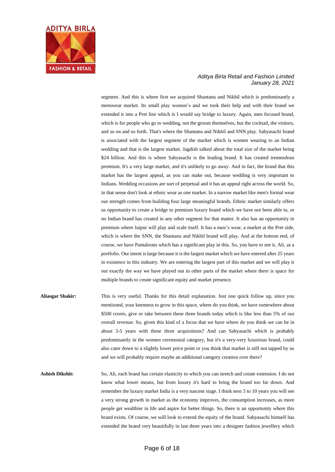

segment. And this is where first we acquired Shantanu and Nikhil which is predominantly a menswear market. Its small play women's and we took their help and with their brand we extended it into a Pret line which is I would say bridge to luxury. Again, men focused brand, which is for people who go to wedding, not the groom themselves, but the cocktail, the visitors, and so on and so forth. That's where the Shantanu and Nikhil and SNN play. Sabyasachi brand is associated with the largest segment of the market which is women wearing to an Indian wedding and that is the largest market. Jagdish talked about the total size of the market being \$24 billion. And this is where Sabyasachi is the leading brand. It has created tremendous premium. It's a very large market, and it's unlikely to go away. And in fact, the brand that this market has the largest appeal, as you can make out, because wedding is very important to Indians. Wedding occasions are sort of perpetual and it has an appeal right across the world. So, in that sense don't look at ethnic wear as one market. In a narrow market like men's formal wear our strength comes from building four large meaningful brands. Ethnic market similarly offers us opportunity to create a bridge to premium luxury brand which we have not been able to, or no Indian brand has created in any other segment for that matter. It also has an opportunity in premium where Jaipur will play and scale itself. It has a men's wear, a market at the Pret side, which is where the SNN, the Shantanu and Nikhil brand will play. And at the bottom end, of course, we have Pantaloons which has a significant play in this. So, you have to see it, Ali, as a portfolio. Our intent is large because it is the largest market which we have entered after 25 years in existence in this industry. We are entering the largest part of this market and we will play it out exactly the way we have played out in other parts of the market where there is space for multiple brands to create significant equity and market presence.

- **Aliasgar Shakir:** This is very useful. Thanks for this detail explanation. Just one quick follow up, since you mentioned, your keenness to grow in this space, where do you think, we have somewhere about \$500 crores, give or take between these three brands today which is like less than 5% of our overall revenue. So, given this kind of a focus that we have where do you think we can be in about 3-5 years with these three acquisitions? And can Sabyasachi which is probably predominantly in the women ceremonial category, but it's a very-very luxurious brand, could also cater down to a slightly lower price point or you think that market is still not tapped by us and we will probably require maybe an additional category creation over there?
- **Ashish Dikshit:** So, Ali, each brand has certain elasticity to which you can stretch and create extension. I do not know what lower means, but from luxury it's hard to bring the brand too far down. And remember the luxury market India is a very nascent stage. I think next 5 to 10 years you will see a very strong growth in market as the economy improves, the consumption increases, as more people get wealthier in life and aspire for better things. So, there is an opportunity where this brand exists. Of course, we will look to extend the equity of the brand. Sabyasachi himself has extended the brand very beautifully in last three years into a designer fashion jewellery which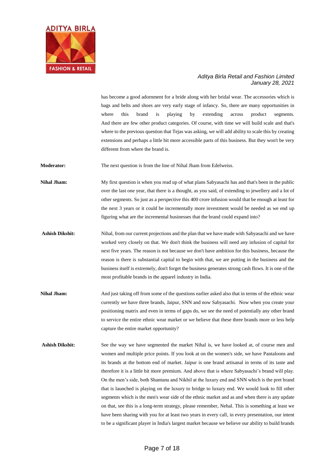

has become a good adornment for a bride along with her bridal wear. The accessories which is bags and belts and shoes are very early stage of infancy. So, there are many opportunities in where this brand is playing by extending across product segments. And there are few other product categories. Of course, with time we will build scale and that's where to the previous question that Tejas was asking, we will add ability to scale this by creating extensions and perhaps a little bit more accessible parts of this business. But they won't be very different from where the brand is.

**Moderator:** The next question is from the line of Nihal Jham from Edelweiss.

**Nihal Jham:** My first question is when you read up of what plans Sabyasachi has and that's been in the public over the last one year, that there is a thought, as you said, of extending to jewellery and a lot of other segments. So just as a perspective this 400 crore infusion would that be enough at least for the next 3 years or it could be incrementally more investment would be needed as we end up figuring what are the incremental businesses that the brand could expand into?

- **Ashish Dikshit:** Nihal, from our current projections and the plan that we have made with Sabyasachi and we have worked very closely on that. We don't think the business will need any infusion of capital for next five years. The reason is not because we don't have ambition for this business, because the reason is there is substantial capital to begin with that, we are putting in the business and the business itself is extremely, don't forget the business generates strong cash flows. It is one of the most profitable brands in the apparel industry in India.
- **Nihal Jham:** And just taking off from some of the questions earlier asked also that in terms of the ethnic wear currently we have three brands, Jaipur, SNN and now Sabyasachi. Now when you create your positioning matrix and even in terms of gaps do, we see the need of potentially any other brand to service the entire ethnic wear market or we believe that these three brands more or less help capture the entire market opportunity?
- Ashish Dikshit: See the way we have segmented the market Nihal is, we have looked at, of course men and women and multiple price points. If you look at on the women's side, we have Pantaloons and its brands at the bottom end of market. Jaipur is one brand artisanal in terms of its taste and therefore it is a little bit more premium. And above that is where Sabyasachi's brand will play. On the men's side, both Shantanu and Nikhil at the luxury end and SNN which is the pret brand that is launched is playing on the luxury to bridge to luxury end. We would look to fill other segments which is the men's wear side of the ethnic market and as and when there is any update on that, see this is a long-term strategy, please remember, Nehal. This is something at least we have been sharing with you for at least two years in every call, in every presentation, our intent to be a significant player in India's largest market because we believe our ability to build brands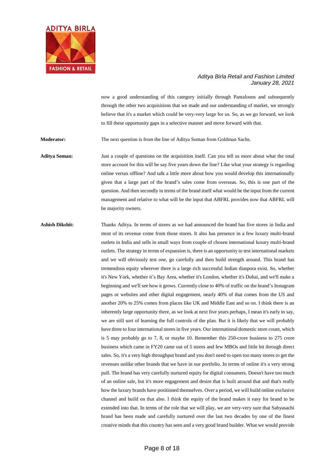

now a good understanding of this category initially through Pantaloons and subsequently through the other two acquisitions that we made and our understanding of market, we strongly believe that it's a market which could be very-very large for us. So, as we go forward, we look to fill these opportunity gaps in a selective manner and move forward with that.

**Moderator:** The next question is from the line of Aditya Soman from Goldman Sachs.

**Aditya Soman:** Just a couple of questions on the acquisition itself. Can you tell us more about what the total store account for this will be say five years down the line? Like what your strategy is regarding online versus offline? And talk a little more about how you would develop this internationally given that a large part of the brand's sales come from overseas. So, this is one part of the question. And then secondly in terms of the brand itself what would be the input from the current management and relative to what will be the input that ABFRL provides now that ABFRL will be majority owners.

**Ashish Dikshit:** Thanks Aditya. In terms of stores as we had announced the brand has five stores in India and most of its revenue come from those stores. It also has presence in a few luxury multi-brand outlets in India and sells in small ways from couple of chosen international luxury multi-brand outlets. The strategy in terms of expansion is, there is an opportunity to test international markets and we will obviously test one, go carefully and then build strength around. This brand has tremendous equity wherever there is a large rich successful Indian diaspora exist. So, whether it's New York, whether it's Bay Area, whether it's London, whether it's Dubai, and we'll make a beginning and we'll see how it grows. Currently close to 40% of traffic on the brand's Instagram pages or websites and other digital engagement, nearly 40% of that comes from the US and another 20% to 25% comes from places like UK and Middle East and so on. I think there is an inherently large opportunity there, as we look at next five years perhaps, I mean it's early to say, we are still sort of learning the full controls of the plan. But it is likely that we will probably have three to four international stores in five years. Our international domestic store count, which is 5 may probably go to 7, 8, or maybe 10. Remember this 250-crore business to 275 crore business which came in FY20 came out of 5 stores and few MBOs and little bit through direct sales. So, it's a very high throughput brand and you don't need to open too many stores to get the revenues unlike other brands that we have in our portfolio. In terms of online it's a very strong pull. The brand has very carefully nurtured equity for digital consumers. Doesn't have too much of an online sale, but it's more engagement and desire that is built around that and that's really how the luxury brands have positioned themselves. Over a period, we will build online exclusive channel and build on that also. I think the equity of the brand makes it easy for brand to be extended into that. In terms of the role that we will play, we are very-very sure that Sabyasachi brand has been made and carefully nurtured over the last two decades by one of the finest creative minds that this country has seen and a very good brand builder. What we would provide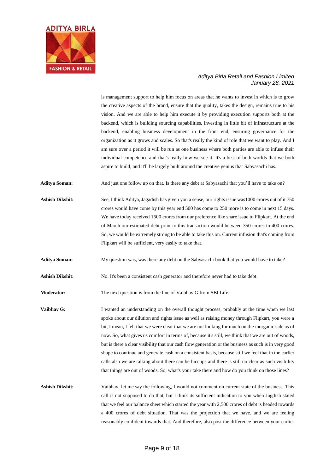

is management support to help him focus on areas that he wants to invest in which is to grow the creative aspects of the brand, ensure that the quality, takes the design, remains true to his vision. And we are able to help him execute it by providing execution supports both at the backend, which is building sourcing capabilities, investing in little bit of infrastructure at the backend, enabling business development in the front end, ensuring governance for the organization as it grows and scales. So that's really the kind of role that we want to play. And I am sure over a period it will be run as one business where both parties are able to infuse their individual competence and that's really how we see it. It's a best of both worlds that we both aspire to build, and it'll be largely built around the creative genius that Sabyasachi has.

**Aditya Soman:** And just one follow up on that. Is there any debt at Sabyasachi that you'll have to take on?

**Ashish Dikshit:** See, I think Aditya, Jagadish has given you a sense, our rights issue was1000 crores out of it 750 crores would have come by this year end 500 has come to 250 more is to come in next 15 days. We have today received 1500 crores from our preference like share issue to Flipkart. At the end of March our estimated debt prior to this transaction would between 350 crores to 400 crores. So, we would be extremely strong to be able to take this on. Current infusion that's coming from Flipkart will be sufficient, very easily to take that.

**Aditya Soman:** My question was, was there any debt on the Sabyasachi book that you would have to take?

**Ashish Dikshit:** No. It's been a consistent cash generator and therefore never had to take debt.

**Moderator:** The next question is from the line of Vaibhav G from SBI Life.

**Vaibhav G:** I wanted an understanding on the overall thought process, probably at the time when we last spoke about our dilution and rights issue as well as raising money through Flipkart, you were a bit, I mean, I felt that we were clear that we are not looking for much on the inorganic side as of now. So, what gives us comfort in terms of, because it's still, we think that we are out of woods, but is there a clear visibility that our cash flow generation or the business as such is in very good shape to continue and generate cash on a consistent basis, because still we feel that in the earlier calls also we are talking about there can be hiccups and there is still no clear as such visibility that things are out of woods. So, what's your take there and how do you think on those lines?

Ashish Dikshit: Vaibhav, let me say the following, I would not comment on current state of the business. This call is not supposed to do that, but I think its sufficient indication to you when Jagdish stated that we feel our balance sheet which started the year with 2,500 crores of debt is headed towards a 400 crores of debt situation. That was the projection that we have, and we are feeling reasonably confident towards that. And therefore, also post the difference between your earlier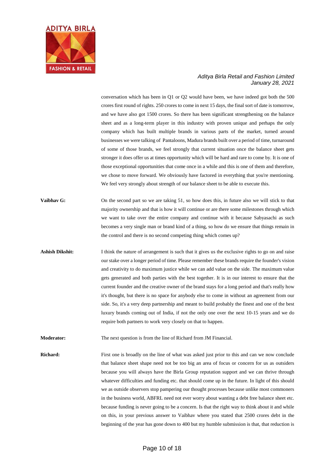

conversation which has been in Q1 or Q2 would have been, we have indeed got both the 500 crores first round of rights. 250 crores to come in next 15 days, the final sort of date is tomorrow, and we have also got 1500 crores. So there has been significant strengthening on the balance sheet and as a long-term player in this industry with proven unique and perhaps the only company which has built multiple brands in various parts of the market, turned around businesses we were talking of Pantaloons, Madura brands built over a period of time, turnaround of some of those brands, we feel strongly that current situation once the balance sheet gets stronger it does offer us at times opportunity which will be hard and rare to come by. It is one of those exceptional opportunities that come once in a while and this is one of them and therefore, we chose to move forward. We obviously have factored in everything that you're mentioning. We feel very strongly about strength of our balance sheet to be able to execute this.

- **Vaibhav G:** On the second part so we are taking 51, so how does this, in future also we will stick to that majority ownership and that is how it will continue or are there some milestones through which we want to take over the entire company and continue with it because Sabyasachi as such becomes a very single man or brand kind of a thing, so how do we ensure that things remain in the control and there is no second competing thing which comes up?
- Ashish Dikshit: I think the nature of arrangement is such that it gives us the exclusive rights to go on and raise our stake over a longer period of time. Please remember these brands require the founder's vision and creativity to do maximum justice while we can add value on the side. The maximum value gets generated and both parties with the best together. It is in our interest to ensure that the current founder and the creative owner of the brand stays for a long period and that's really how it's thought, but there is no space for anybody else to come in without an agreement from our side. So, it's a very deep partnership and meant to build probably the finest and one of the best luxury brands coming out of India, if not the only one over the next 10-15 years and we do require both partners to work very closely on that to happen.
- **Moderator:** The next question is from the line of Richard from JM Financial.

**Richard:** First one is broadly on the line of what was asked just prior to this and can we now conclude that balance sheet shape need not be too big an area of focus or concern for us as outsiders because you will always have the Birla Group reputation support and we can thrive through whatever difficulties and funding etc. that should come up in the future. In light of this should we as outside observers stop pampering our thought processes because unlike most commoners in the business world, ABFRL need not ever worry about wanting a debt free balance sheet etc. because funding is never going to be a concern. Is that the right way to think about it and while on this, in your previous answer to Vaibhav where you stated that 2500 crores debt in the beginning of the year has gone down to 400 but my humble submission is that, that reduction is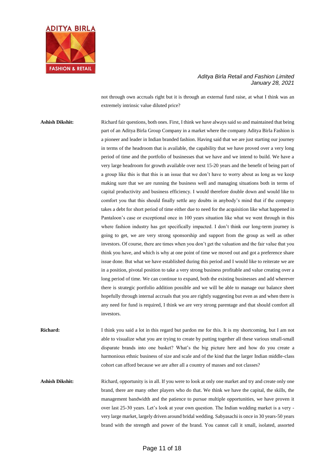

not through own accruals right but it is through an external fund raise, at what I think was an extremely intrinsic value diluted price?

**Ashish Dikshit:** Richard fair questions, both ones. First, I think we have always said so and maintained that being part of an Aditya Birla Group Company in a market where the company Aditya Birla Fashion is a pioneer and leader in Indian branded fashion. Having said that we are just starting our journey in terms of the headroom that is available, the capability that we have proved over a very long period of time and the portfolio of businesses that we have and we intend to build. We have a very large headroom for growth available over next 15-20 years and the benefit of being part of a group like this is that this is an issue that we don't have to worry about as long as we keep making sure that we are running the business well and managing situations both in terms of capital productivity and business efficiency. I would therefore double down and would like to comfort you that this should finally settle any doubts in anybody's mind that if the company takes a debt for short period of time either due to need for the acquisition like what happened in Pantaloon's case or exceptional once in 100 years situation like what we went through in this where fashion industry has got specifically impacted. I don't think our long-term journey is going to get, we are very strong sponsorship and support from the group as well as other investors. Of course, there are times when you don't get the valuation and the fair value that you think you have, and which is why at one point of time we moved out and got a preference share issue done. But what we have established during this period and I would like to reiterate we are in a position, pivotal position to take a very strong business profitable and value creating over a long period of time. We can continue to expand, both the existing businesses and add wherever there is strategic portfolio addition possible and we will be able to manage our balance sheet hopefully through internal accruals that you are rightly suggesting but even as and when there is any need for fund is required, I think we are very strong parentage and that should comfort all investors.

**Richard:** I think you said a lot in this regard but pardon me for this. It is my shortcoming, but I am not able to visualize what you are trying to create by putting together all these various small-small disparate brands into one basket? What's the big picture here and how do you create a harmonious ethnic business of size and scale and of the kind that the larger Indian middle-class cohort can afford because we are after all a country of masses and not classes?

Ashish Dikshit: Richard, opportunity is in all. If you were to look at only one market and try and create only one brand, there are many other players who do that. We think we have the capital, the skills, the management bandwidth and the patience to pursue multiple opportunities, we have proven it over last 25-30 years. Let's look at your own question. The Indian wedding market is a very very large market, largely driven around bridal wedding. Sabyasachi is once in 30 years-50 years brand with the strength and power of the brand. You cannot call it small, isolated, assorted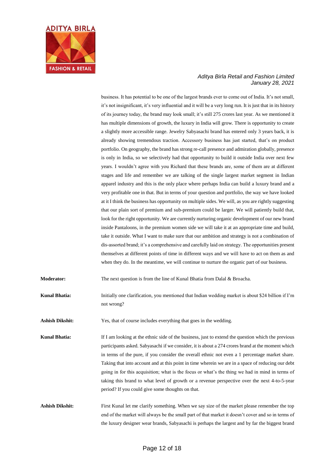

business. It has potential to be one of the largest brands ever to come out of India. It's not small, it's not insignificant, it's very influential and it will be a very long run. It is just that in its history of its journey today, the brand may look small; it's still 275 crores last year. As we mentioned it has multiple dimensions of growth, the luxury in India will grow. There is opportunity to create a slightly more accessible range. Jewelry Sabyasachi brand has entered only 3 years back, it is already showing tremendous traction. Accessory business has just started, that's on product portfolio. On geography, the brand has strong re-call presence and admiration globally, presence is only in India, so we selectively had that opportunity to build it outside India over next few years. I wouldn't agree with you Richard that these brands are, some of them are at different stages and life and remember we are talking of the single largest market segment in Indian apparel industry and this is the only place where perhaps India can build a luxury brand and a very profitable one in that. But in terms of your question and portfolio, the way we have looked at it I think the business has opportunity on multiple sides. We will, as you are rightly suggesting that our plain sort of premium and sub-premium could be larger. We will patiently build that, look for the right opportunity. We are currently nurturing organic development of our new brand inside Pantaloons, in the premium women side we will take it at an appropriate time and build, take it outside. What I want to make sure that our ambition and strategy is not a combination of dis-assorted brand; it's a comprehensive and carefully laid on strategy. The opportunities present themselves at different points of time in different ways and we will have to act on them as and when they do. In the meantime, we will continue to nurture the organic part of our business.

**Moderator:** The next question is from the line of Kunal Bhatia from Dalal & Broacha.

**Kunal Bhatia:** Initially one clarification, you mentioned that Indian wedding market is about \$24 billion if I'm not wrong?

**Ashish Dikshit:** Yes, that of course includes everything that goes in the wedding.

**Kunal Bhatia:** If I am looking at the ethnic side of the business, just to extend the question which the previous participants asked. Sabyasachi if we consider, it is about a 274 crores brand at the moment which in terms of the pure, if you consider the overall ethnic not even a 1 percentage market share. Taking that into account and at this point in time wherein we are in a space of reducing our debt going in for this acquisition; what is the focus or what's the thing we had in mind in terms of taking this brand to what level of growth or a revenue perspective over the next 4-to-5-year period? If you could give some thoughts on that.

Ashish Dikshit: First Kunal let me clarify something. When we say size of the market please remember the top end of the market will always be the small part of that market it doesn't cover and so in terms of the luxury designer wear brands, Sabyasachi is perhaps the largest and by far the biggest brand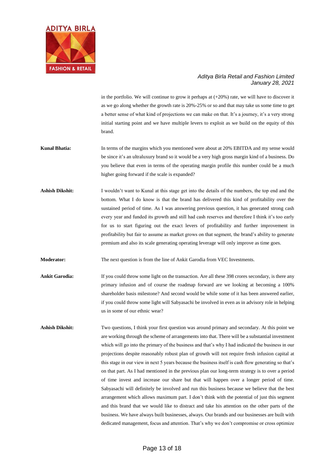

in the portfolio. We will continue to grow it perhaps at  $(+20%)$  rate, we will have to discover it as we go along whether the growth rate is 20%-25% or so and that may take us some time to get a better sense of what kind of projections we can make on that. It's a journey, it's a very strong initial starting point and we have multiple levers to exploit as we build on the equity of this brand.

- **Kunal Bhatia:** In terms of the margins which you mentioned were about at 20% EBITDA and my sense would be since it's an ultraluxury brand so it would be a very high gross margin kind of a business. Do you believe that even in terms of the operating margin profile this number could be a much higher going forward if the scale is expanded?
- Ashish Dikshit: I wouldn't want to Kunal at this stage get into the details of the numbers, the top end and the bottom. What I do know is that the brand has delivered this kind of profitability over the sustained period of time. As I was answering previous question, it has generated strong cash every year and funded its growth and still had cash reserves and therefore I think it's too early for us to start figuring out the exact levers of profitability and further improvement in profitability but fair to assume as market grows on that segment, the brand's ability to generate premium and also its scale generating operating leverage will only improve as time goes.

**Moderator:** The next question is from the line of Ankit Garodia from VEC Investments.

- Ankit Garodia: If you could throw some light on the transaction. Are all these 398 crores secondary, is there any primary infusion and of course the roadmap forward are we looking at becoming a 100% shareholder basis milestone? And second would be while some of it has been answered earlier, if you could throw some light will Sabyasachi be involved in even as in advisory role in helping us in some of our ethnic wear?
- **Ashish Dikshit:** Two questions, I think your first question was around primary and secondary. At this point we are working through the scheme of arrangements into that. There will be a substantial investment which will go into the primary of the business and that's why I had indicated the business in our projections despite reasonably robust plan of growth will not require fresh infusion capital at this stage in our view in next 5 years because the business itself is cash flow generating so that's on that part. As I had mentioned in the previous plan our long-term strategy is to over a period of time invest and increase our share but that will happen over a longer period of time. Sabyasachi will definitely be involved and run this business because we believe that the best arrangement which allows maximum part. I don't think with the potential of just this segment and this brand that we would like to distract and take his attention on the other parts of the business. We have always built businesses, always. Our brands and our businesses are built with dedicated management, focus and attention. That's why we don't compromise or cross optimize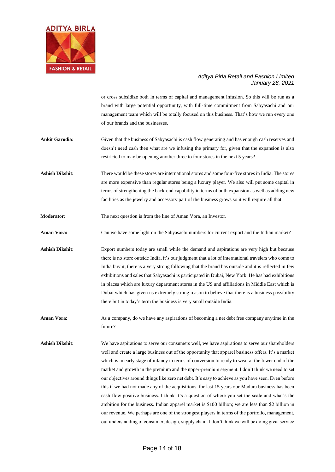

or cross subsidize both in terms of capital and management infusion. So this will be run as a brand with large potential opportunity, with full-time commitment from Sabyasachi and our management team which will be totally focused on this business. That's how we run every one of our brands and the businesses.

- **Ankit Garodia:** Given that the business of Sabyasachi is cash flow generating and has enough cash reserves and doesn't need cash then what are we infusing the primary for, given that the expansion is also restricted to may be opening another three to four stores in the next 5 years?
- **Ashish Dikshit:** There would be these stores are international stores and some four-five stores in India. The stores are more expensive than regular stores being a luxury player. We also will put some capital in terms of strengthening the back-end capability in terms of both expansion as well as adding new facilities as the jewelry and accessory part of the business grows so it will require all that.
- **Moderator:** The next question is from the line of Aman Vora, an Investor.
- **Aman Vora:** Can we have some light on the Sabyasachi numbers for current export and the Indian market?
- **Ashish Dikshit:** Export numbers today are small while the demand and aspirations are very high but because there is no store outside India, it's our judgment that a lot of international travelers who come to India buy it, there is a very strong following that the brand has outside and it is reflected in few exhibitions and sales that Sabyasachi is participated in Dubai, New York. He has had exhibitions in places which are luxury department stores in the US and affiliations in Middle East which is Dubai which has given us extremely strong reason to believe that there is a business possibility there but in today's term the business is very small outside India.
- **Aman Vora:** As a company, do we have any aspirations of becoming a net debt free company anytime in the future?
- **Ashish Dikshit:** We have aspirations to serve our consumers well, we have aspirations to serve our shareholders well and create a large business out of the opportunity that apparel business offers. It's a market which is in early stage of infancy in terms of conversion to ready to wear at the lower end of the market and growth in the premium and the upper-premium segment. I don't think we need to set our objectives around things like zero net debt. It's easy to achieve as you have seen. Even before this if we had not made any of the acquisitions, for last 15 years our Madura business has been cash flow positive business. I think it's a question of where you set the scale and what's the ambition for the business. Indian apparel market is \$100 billion; we are less than \$2 billion in our revenue. We perhaps are one of the strongest players in terms of the portfolio, management, our understanding of consumer, design, supply chain. I don't think we will be doing great service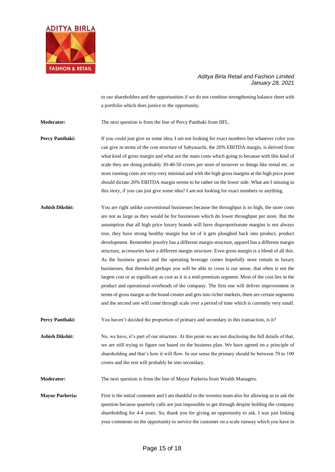

to our shareholders and the opportunities if we do not combine strengthening balance sheet with a portfolio which does justice to the opportunity.

**Moderator:** The next question is from the line of Percy Panthaki from IIFL.

**Percy Panthaki:** If you could just give us some idea, I am not looking for exact numbers but whatever color you can give in terms of the cost structure of Sabyasachi, the 20% EBITDA margin, is derived from what kind of gross margin and what are the main costs which going to because with this kind of scale they are doing probably 30-40-50 crores per store of turnover so things like rental etc. or store running costs are very-very minimal and with the high gross margins at the high price point should dictate 20% EBITDA margin seems to be rather on the lower side. What am I missing in this story, if you can just give some idea? I am not looking for exact numbers or anything.

Ashish Dikshit: You are right unlike conventional businesses because the throughput is so high, the store costs are not as large as they would be for businesses which do lower throughput per store. But the assumption that all high price luxury brands will have disproportionate margins is not always true, they have strong healthy margin but lot of it gets ploughed back into product, product development. Remember jewelry has a different margin structure, apparel has a different margin structure, accessories have a different margin structure. Even gross margin is a blend of all this. As the business grows and the operating leverage comes hopefully store rentals in luxury businesses, that threshold perhaps you will be able to cross is our sense, that often is not the largest cost or as significant as cost as it is a mid-premium segment. Most of the cost lies in the product and operational overheads of the company. The first one will deliver improvement in terms of gross margin as the brand creates and gets into richer markets, there are certain segments and the second one will come through scale over a period of time which is currently very small.

**Percy Panthaki:** You haven't decided the proportion of primary and secondary in this transaction, is it?

**Ashish Dikshit:** No, we have, it's part of our structure. At this point we are not disclosing the full details of that, we are still trying to figure out based on the business plan. We have agreed on a principle of shareholding and that's how it will flow. In our sense the primary should be between 70 to 100 crores and the rest will probably be into secondary.

**Moderator:** The next question is from the line of Mayur Parkeria from Wealth Managers.

**Mayur Parkeria:** First is the initial comment and I am thankful to the investor team also for allowing us to ask the question because quarterly calls are just impossible to get through despite holding the company shareholding for 4-4 years. So, thank you for giving an opportunity to ask. I was just linking your comments on the opportunity to service the customer on a scale runway which you have in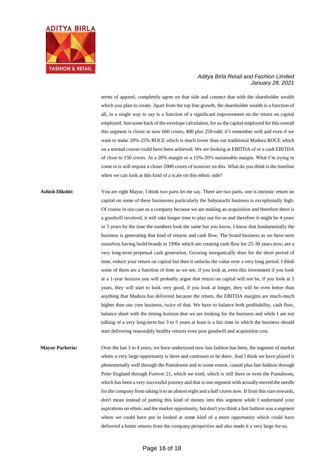

terms of apparel, completely agree on that side and connect that with the shareholder wealth which you plan to create. Apart from the top line growth, the shareholder wealth is a function of all, in a single way to say is a function of a significant improvement on the return on capital employed. Just some back of the envelope calculation, for us the capital employed for this overall this segment is closer to now 660 crores, 400 plus 250-odd; if I remember well and even if we want to make 20%-25% ROCE which is much lower than our traditional Madura ROCE which on a normal course could have been achieved. We are looking at EBITDA of or a cash EBITDA of close to 150 crores. At a 20% margin or a 15%-20% sustainable margin. What I'm trying to come to is will require a closer 2000 crores of turnover on this. What do you think is the timeline when we can look at this kind of a scale on this ethnic side?

## Ashish Dikshit: You are right Mayur, I think two parts let me say. There are two parts, one is intrinsic return on capital on some of these businesses particularly the Sabyasachi business is exceptionally high. Of course in our case as a company because we are making an acquisition and therefore there is a goodwill involved, it will take longer time to play out for us and therefore it might be 4 years or 5 years by the time the numbers look the same but you know, I know that fundamentally the business is generating that kind of returns and cash flow. The brand business as we have seen ourselves having build brands in 1990s which are creating cash flow for 25-30 years now; are a very long-term perpetual cash generation. Growing inorganically does for the short period of time, reduce your return on capital but then it unlocks the value over a very long period. I think some of them are a function of time as we see, if you look at, even this investment if you look at a 1-year horizon you will probably argue that return on capital will not be, if you look at 5 years, they will start to look very good, if you look at longer, they will be even better than anything that Madura has delivered because the return, the EBITDA margins are much-much higher than our core business, twice of that. We have to balance both profitability, cash flow, balance sheet with the timing horizon that we are looking for the business and while I am not talking of a very long-term but 3 to 5 years at least is a fair time in which the business should start delivering reasonably healthy returns even post goodwill and acquisition cost.

**Mayur Parkeria:** Over the last 3 to 4 years, we have understood now fast fashion has been, the segment of market where a very large opportunity is there and continues to be there. And I think we have played it phenomenally well through the Pantaloons and to some extent, casual plus fast fashion through Peter England through Forever 21, which we tried, which is still there or even the Pantaloons, which has been a very successful journey and that is one segment with actually moved the needle for the company from taking it to an almost eight and a half crores now. If from this size onwards, don't mean instead of putting this kind of money into this segment while I understand your aspirations on ethnic and the market opportunity, but don't you think a fast fashion was a segment where we could have put in looked at some kind of a more opportunity which could have delivered a better returns from the company perspective and also made it a very large for us.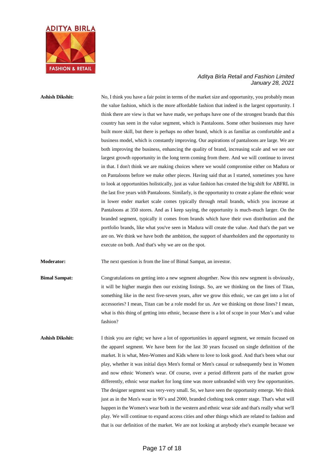

**Ashish Dikshit:** No, I think you have a fair point in terms of the market size and opportunity, you probably mean the value fashion, which is the more affordable fashion that indeed is the largest opportunity. I think there are view is that we have made, we perhaps have one of the strongest brands that this country has seen in the value segment, which is Pantaloons. Some other businesses may have built more skill, but there is perhaps no other brand, which is as familiar as comfortable and a business model, which is constantly improving. Our aspirations of pantaloons are large. We are both improving the business, enhancing the quality of brand, increasing scale and we see our largest growth opportunity in the long term coming from there. And we will continue to invest in that. I don't think we are making choices where we would compromise either on Madura or on Pantaloons before we make other pieces. Having said that as I started, sometimes you have to look at opportunities holistically, just as value fashion has created the big shift for ABFRL in the last five years with Pantaloons. Similarly, is the opportunity to create a plane the ethnic wear in lower ender market scale comes typically through retail brands, which you increase at Pantaloons at 350 stores. And as I keep saying, the opportunity is much-much larger. On the branded segment, typically it comes from brands which have their own distribution and the portfolio brands, like what you've seen in Madura will create the value. And that's the part we are on. We think we have both the ambition, the support of shareholders and the opportunity to execute on both. And that's why we are on the spot.

**Moderator:** The next question is from the line of Bimal Sampat, an investor.

**Bimal Sampat:** Congratulations on getting into a new segment altogether. Now this new segment is obviously, it will be higher margin then our existing listings. So, are we thinking on the lines of Titan, something like in the next five-seven years, after we grow this ethnic, we can get into a lot of accessories? I mean, Titan can be a role model for us. Are we thinking on those lines? I mean, what is this thing of getting into ethnic, because there is a lot of scope in your Men's and value fashion?

Ashish Dikshit: I think you are right; we have a lot of opportunities in apparel segment, we remain focused on the apparel segment. We have been for the last 30 years focused on single definition of the market. It is what, Men-Women and Kids where to love to look good. And that's been what our play, whether it was initial days Men's formal or Men's casual or subsequently best in Women and now ethnic Women's wear. Of course, over a period different parts of the market grow differently, ethnic wear market for long time was more unbranded with very few opportunities. The designer segment was very-very small. So, we have seen the opportunity emerge. We think just as in the Men's wear in 90's and 2000, branded clothing took center stage. That's what will happen in the Women's wear both in the western and ethnic wear side and that's really what we'll play. We will continue to expand access cities and other things which are related to fashion and that is our definition of the market. We are not looking at anybody else's example because we